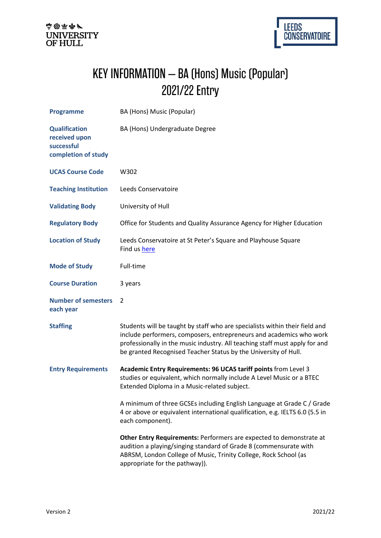



## KEY INFORMATION – BA (Hons) Music (Popular) 2021/22 Entry

| <b>Programme</b>                                                           | BA (Hons) Music (Popular)                                                                                                                                                                                                                                                                            |
|----------------------------------------------------------------------------|------------------------------------------------------------------------------------------------------------------------------------------------------------------------------------------------------------------------------------------------------------------------------------------------------|
| <b>Qualification</b><br>received upon<br>successful<br>completion of study | BA (Hons) Undergraduate Degree                                                                                                                                                                                                                                                                       |
| <b>UCAS Course Code</b>                                                    | W302                                                                                                                                                                                                                                                                                                 |
| <b>Teaching Institution</b>                                                | Leeds Conservatoire                                                                                                                                                                                                                                                                                  |
| <b>Validating Body</b>                                                     | University of Hull                                                                                                                                                                                                                                                                                   |
| <b>Regulatory Body</b>                                                     | Office for Students and Quality Assurance Agency for Higher Education                                                                                                                                                                                                                                |
| <b>Location of Study</b>                                                   | Leeds Conservatoire at St Peter's Square and Playhouse Square<br>Find us here                                                                                                                                                                                                                        |
| <b>Mode of Study</b>                                                       | Full-time                                                                                                                                                                                                                                                                                            |
| <b>Course Duration</b>                                                     | 3 years                                                                                                                                                                                                                                                                                              |
| <b>Number of semesters</b><br>each year                                    | $\overline{2}$                                                                                                                                                                                                                                                                                       |
| <b>Staffing</b>                                                            | Students will be taught by staff who are specialists within their field and<br>include performers, composers, entrepreneurs and academics who work<br>professionally in the music industry. All teaching staff must apply for and<br>be granted Recognised Teacher Status by the University of Hull. |
| <b>Entry Requirements</b>                                                  | Academic Entry Requirements: 96 UCAS tariff points from Level 3<br>studies or equivalent, which normally include A Level Music or a BTEC<br>Extended Diploma in a Music-related subject.                                                                                                             |
|                                                                            | A minimum of three GCSEs including English Language at Grade C / Grade<br>4 or above or equivalent international qualification, e.g. IELTS 6.0 (5.5 in<br>each component).                                                                                                                           |
|                                                                            | Other Entry Requirements: Performers are expected to demonstrate at<br>audition a playing/singing standard of Grade 8 (commensurate with<br>ABRSM, London College of Music, Trinity College, Rock School (as<br>appropriate for the pathway)).                                                       |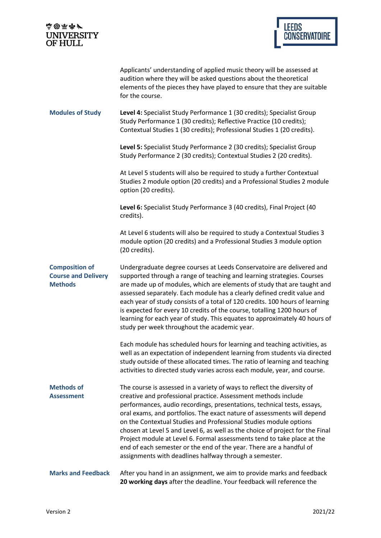| 高田雨が<br><b>UNIVERSITY</b><br><b>OF HULL</b>                           | <b>LEEDS</b><br><b>CONSERVATOIRE</b>                                                                                                                                                                                                                                                                                                                                                                                                                                                                                                                                                                                                                              |
|-----------------------------------------------------------------------|-------------------------------------------------------------------------------------------------------------------------------------------------------------------------------------------------------------------------------------------------------------------------------------------------------------------------------------------------------------------------------------------------------------------------------------------------------------------------------------------------------------------------------------------------------------------------------------------------------------------------------------------------------------------|
|                                                                       |                                                                                                                                                                                                                                                                                                                                                                                                                                                                                                                                                                                                                                                                   |
|                                                                       | Applicants' understanding of applied music theory will be assessed at<br>audition where they will be asked questions about the theoretical<br>elements of the pieces they have played to ensure that they are suitable<br>for the course.                                                                                                                                                                                                                                                                                                                                                                                                                         |
| <b>Modules of Study</b>                                               | Level 4: Specialist Study Performance 1 (30 credits); Specialist Group<br>Study Performance 1 (30 credits); Reflective Practice (10 credits);<br>Contextual Studies 1 (30 credits); Professional Studies 1 (20 credits).                                                                                                                                                                                                                                                                                                                                                                                                                                          |
|                                                                       | Level 5: Specialist Study Performance 2 (30 credits); Specialist Group<br>Study Performance 2 (30 credits); Contextual Studies 2 (20 credits).                                                                                                                                                                                                                                                                                                                                                                                                                                                                                                                    |
|                                                                       | At Level 5 students will also be required to study a further Contextual<br>Studies 2 module option (20 credits) and a Professional Studies 2 module<br>option (20 credits).                                                                                                                                                                                                                                                                                                                                                                                                                                                                                       |
|                                                                       | Level 6: Specialist Study Performance 3 (40 credits), Final Project (40<br>credits).                                                                                                                                                                                                                                                                                                                                                                                                                                                                                                                                                                              |
|                                                                       | At Level 6 students will also be required to study a Contextual Studies 3<br>module option (20 credits) and a Professional Studies 3 module option<br>(20 credits).                                                                                                                                                                                                                                                                                                                                                                                                                                                                                               |
| <b>Composition of</b><br><b>Course and Delivery</b><br><b>Methods</b> | Undergraduate degree courses at Leeds Conservatoire are delivered and<br>supported through a range of teaching and learning strategies. Courses<br>are made up of modules, which are elements of study that are taught and<br>assessed separately. Each module has a clearly defined credit value and<br>each year of study consists of a total of 120 credits. 100 hours of learning<br>is expected for every 10 credits of the course, totalling 1200 hours of<br>learning for each year of study. This equates to approximately 40 hours of<br>study per week throughout the academic year.                                                                    |
|                                                                       | Each module has scheduled hours for learning and teaching activities, as<br>well as an expectation of independent learning from students via directed<br>study outside of these allocated times. The ratio of learning and teaching<br>activities to directed study varies across each module, year, and course.                                                                                                                                                                                                                                                                                                                                                  |
| <b>Methods of</b><br><b>Assessment</b>                                | The course is assessed in a variety of ways to reflect the diversity of<br>creative and professional practice. Assessment methods include<br>performances, audio recordings, presentations, technical tests, essays,<br>oral exams, and portfolios. The exact nature of assessments will depend<br>on the Contextual Studies and Professional Studies module options<br>chosen at Level 5 and Level 6, as well as the choice of project for the Final<br>Project module at Level 6. Formal assessments tend to take place at the<br>end of each semester or the end of the year. There are a handful of<br>assignments with deadlines halfway through a semester. |
| <b>Marks and Feedback</b>                                             | After you hand in an assignment, we aim to provide marks and feedback<br>20 working days after the deadline. Your feedback will reference the                                                                                                                                                                                                                                                                                                                                                                                                                                                                                                                     |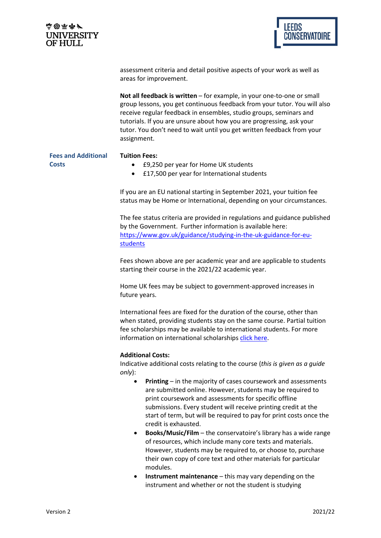| 中國車中/          |
|----------------|
| UNIVERSITY     |
| <b>OF HULL</b> |



assessment criteria and detail positive aspects of your work as well as areas for improvement.

**Not all feedback is written** – for example, in your one-to-one or small group lessons, you get continuous feedback from your tutor. You will also receive regular feedback in ensembles, studio groups, seminars and tutorials. If you are unsure about how you are progressing, ask your tutor. You don't need to wait until you get written feedback from your assignment.

**Fees and Additional Costs**

## **Tuition Fees:**

- £9,250 per year for Home UK students
- £17,500 per year for International students

If you are an EU national starting in September 2021, your tuition fee status may be Home or International, depending on your circumstances.

The fee status criteria are provided in regulations and guidance published by the Government. Further information is available here: [https://www.gov.uk/guidance/studying-in-the-uk-guidance-for-eu](https://www.gov.uk/guidance/studying-in-the-uk-guidance-for-eu-students)[students](https://www.gov.uk/guidance/studying-in-the-uk-guidance-for-eu-students)

Fees shown above are per academic year and are applicable to students starting their course in the 2021/22 academic year.

Home UK fees may be subject to government-approved increases in future years.

International fees are fixed for the duration of the course, other than when stated, providing students stay on the same course. Partial tuition fee scholarships may be available to international students. For more information on international scholarships [click here.](https://www.lcm.ac.uk/courses/international-applicants/fees-funding/tuition-fees-scholarships/)

## **Additional Costs:**

Indicative additional costs relating to the course (*this is given as a guide only*):

- **Printing** in the majority of cases coursework and assessments are submitted online. However, students may be required to print coursework and assessments for specific offline submissions. Every student will receive printing credit at the start of term, but will be required to pay for print costs once the credit is exhausted.
- **Books/Music/Film** the conservatoire's library has a wide range of resources, which include many core texts and materials. However, students may be required to, or choose to, purchase their own copy of core text and other materials for particular modules.
- **Instrument maintenance** this may vary depending on the instrument and whether or not the student is studying